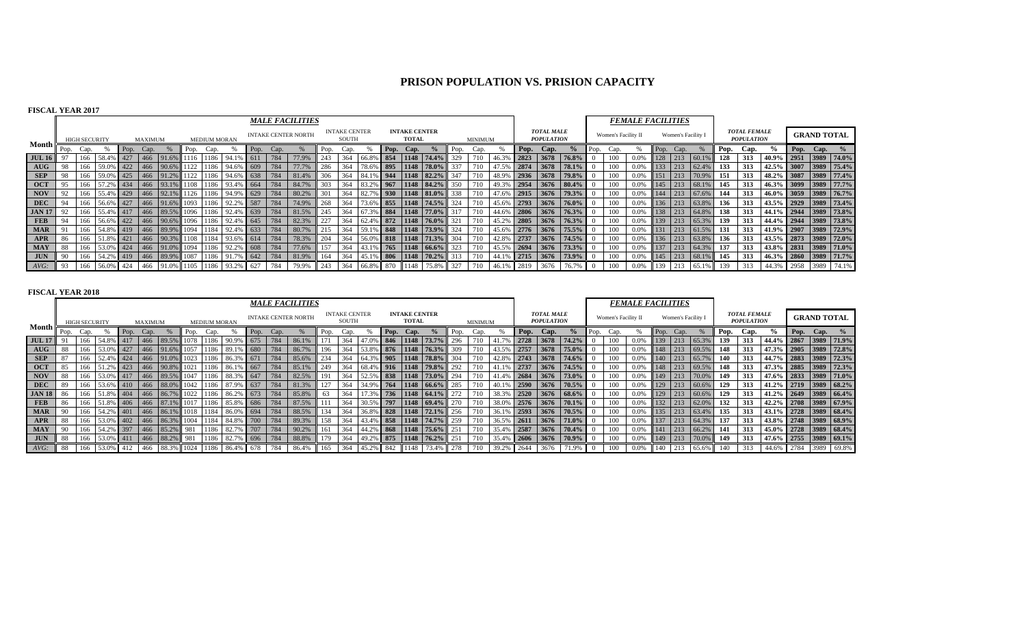# **PRISON POPULATION VS. PRISION CAPACITY**

## **FISCAL YEAR 2017**

|                                    |      |                      |               |      |                |                     |      |                     |                                   |      |                                                | <b>MALE FACILITIES</b>     |      |                               |           |      |                                      |                      |      |         |                 |      |                                        |          |      |                     | <b>FEMALE FACILITIES</b> |      |                    |           |      |                                          |                       |                    |                       |
|------------------------------------|------|----------------------|---------------|------|----------------|---------------------|------|---------------------|-----------------------------------|------|------------------------------------------------|----------------------------|------|-------------------------------|-----------|------|--------------------------------------|----------------------|------|---------|-----------------|------|----------------------------------------|----------|------|---------------------|--------------------------|------|--------------------|-----------|------|------------------------------------------|-----------------------|--------------------|-----------------------|
|                                    |      | <b>HIGH SECURITY</b> |               |      | <b>MAXIMUM</b> |                     |      | <b>MEDIUM MORAN</b> |                                   |      |                                                | <b>INTAKE CENTER NORTH</b> |      | <b>INTAKE CENTER</b><br>SOUTH |           |      | <b>INTAKE CENTER</b><br><b>TOTAL</b> |                      |      | MINIMUM |                 |      | <b>TOTAL MALE</b><br><b>POPULATION</b> |          |      | Women's Facility II |                          |      | Women's Facility I |           |      | <b>TOTAL FEMALE</b><br><b>POPULATION</b> |                       | <b>GRAND TOTAL</b> |                       |
| Month                              | Pop. | Cap.                 |               | Pop. | Cap.           |                     | Pop. | Cap.                |                                   | Pop. | Cap.                                           |                            | Pop. | Cap.                          |           | Pop. | Cap.                                 |                      | Pop. | Cap.    |                 | Pop. | Cap.                                   | $\%$     | Pop. | ⊇ap.                |                          | Pop. | Cap.               |           | Pop. | Cap.                                     | $\frac{9}{6}$         | Pop. Cap.          |                       |
| <b>JUL 16</b>                      |      | 166                  | . 158.4%      | 427  | 466            | 91.6%               |      |                     |                                   |      | 784                                            | 77.9%                      | 243  | 364                           | 66.8% 854 |      |                                      | 1148 74.4%           |      |         |                 | 2823 | 3678                                   | 76.8%    |      |                     | 0.0%                     | 128  |                    |           | 128  | 313                                      |                       |                    | 40.9% 2951 3989 74.0% |
| $\mathbf{A} \mathbf{U} \mathbf{G}$ | 98   | 166                  | 59.0% 422     |      | 466            | $90.6\%$            |      | 1186                | 94.6%                             | 609  | 784                                            | 77.7%                      | 286  | 364                           | 78.6% 895 |      |                                      | 1148 78.0%           |      |         |                 | 2874 | 3678                                   | 78.1%    |      |                     | 0.0%                     | 133  | 213                | 62.4%     | 133  | 313                                      |                       |                    | 42.5% 3007 3989 75.4% |
| <b>SEP</b>                         | 98   | 166                  | 59.0% 425     |      |                | 466 91.2%           |      |                     | 1122 1186 94.6% 638 784           |      |                                                | 81.4%                      | 306  | 364                           |           |      |                                      | 84.1% 944 1148 82.2% | 347  |         | 48.9%           | 2936 | 3678                                   | 79.8%    |      |                     | 0.0%                     | 151  | 213                | 70.9%     | 151  | 313                                      |                       |                    | 48.2% 3087 3989 77.4% |
| <b>OCT</b>                         |      | 166                  | 57.2% 434     |      |                |                     |      |                     | 466 93.1% 1108 1186 93.4% 664     |      | 784                                            | 84.7%                      | 303  | 364                           |           |      |                                      | 83.2% 967 1148 84.2% | 350  |         |                 | 2954 | 3676                                   | 80.4%    |      |                     | 0.0%                     | 145  | 213                | 68.1%     | 145  | 313                                      | 46.3% 3099 3989 77.7% |                    |                       |
| <b>NOV</b>                         |      | 166                  | 55.4% 429     |      |                | 466 92.1%           |      | 1126 1186           | 94.9% 629                         |      | 784                                            | 80.2%                      | 301  | 364                           | 82.7% 930 |      |                                      | $1148$ 81.0%         | 338  |         | 47.6% 2915      |      | 3676                                   | 79.3%    |      |                     | 0.0%                     | 144  | 213                | 67.6%     | 144  | 313                                      | 46.0% 3059 3989 76.7% |                    |                       |
| <b>DEC</b>                         |      | 166                  | 56.6% 427     |      |                | 466 91.6% 1093      |      |                     | 1186 92.2%                        | 587  | 784                                            | 74.9%                      | 268  | 364                           | 73.6% 855 |      |                                      | 1148 74.5%           | 324  |         | 45.6% 2793      |      | 3676                                   | 76.0%    |      | 100-                | 0.0%                     | 136  | 213                | 63.8%     | 136  | 313                                      | 43.5% 2929 3989 73.4% |                    |                       |
| <b>JAN 17</b>                      |      | 166                  | 55.4% 417     |      |                |                     |      |                     | 466 89.5% 1096 1186 92.4% 639     |      | 1784                                           | 81.5%                      | 245  | 364                           |           |      |                                      | 67.3% 884 1148 77.0% | 317  | 710     | 44.6% 2806      |      | 3676                                   | $76.3\%$ |      | 100                 | 0.0%                     | 138  | 213                | 64.8%     | 138  | 313                                      |                       |                    | 44.1% 2944 3989 73.8% |
| <b>FEB</b>                         | 94   |                      | 166 56.6% 422 |      |                |                     |      |                     | 466 90.6% 1096 1186 92.4% 645 784 |      |                                                | 82.3%                      | 227  | 364                           |           |      |                                      | 62.4% 872 1148 76.0% | 321  | 710     | 45.2% 2805      |      | 3676                                   | 76.3%    |      | 100                 | 0.0%                     | 139  |                    | 213 65.3% | 139  | 313                                      |                       |                    | 44.4% 2944 3989 73.8% |
| <b>MAR</b>                         |      | 166                  | 54.8% 419     |      |                |                     |      |                     | 466 89.9% 1094 1184 92.4% 633     |      |                                                | 80.7%                      | 215  | 364                           |           |      |                                      | 59.1% 848 1148 73.9% | 324  | 710     | 45.6% 2776 3676 |      |                                        | 75.5%    |      |                     | 0.0%                     | 131  | 213                | 61.5%     | 131  | 313                                      |                       |                    | 41.9% 2907 3989 72.9% |
| APR                                | 86   | 166                  | 51.8% 421     |      |                | 466 90.3%           |      |                     | 1108 1184 93.6% 614               |      | 784                                            | 78.3%                      | 204  | 364                           |           |      |                                      | 56.0% 818 1148 71.3% | 304  |         | 42.8% 2737      |      | 3676                                   | 74.5%    |      |                     | 0.0%                     | 136  | 213                | 63.8%     | 136  | 313                                      | 43.5% 2873 3989 72.0% |                    |                       |
| <b>MAY</b>                         | 88   | 166                  | 53.0% 424     |      |                | $1466$ 91.0% 1094   |      | 1186                | 92.2%                             | 608  | 784                                            | 77.6%                      | 157  | 364                           |           |      |                                      | 43.1% 765 1148 66.6% | 323  |         | 45.5% 2694      |      | 3676                                   | 73.3%    |      | 100-                | 0.0%                     | 137  | 213                | 64.3%     | 137  | 313                                      |                       |                    | 43.8% 2831 3989 71.0% |
| <b>JUN</b>                         |      | 166                  | 54.2% 419     |      |                | 466 89.9% 1087 1186 |      |                     | 91.7%                             | 642  | $\begin{array}{c} \n \text{784}\n \end{array}$ | 81.9%                      | 164  | 364                           |           |      |                                      | 45.1% 806 1148 70.2% |      | 710     | 44.1% 2715      |      | 3676                                   | 73.9%    |      | 100                 | 0.0%                     | 145  | 213                | 68.1%     | 145  | 313                                      | 46.3% 2860 3989 71.7% |                    |                       |
| AVG:                               | 93   | 166                  | 56.0% 424     |      | 466            | 91.0% 1105          |      | 1186                |                                   |      | 784                                            | 79.9%                      | 243  | 364                           | 66.8% 870 |      | 1148                                 | 75.8%                | 327  |         | 46.1% 2819      |      | 3676                                   | 76.7%    |      |                     | 0.0%                     | 139  | 213                | 65.1%     | 139  | 313                                      | 44.3% 2958 3989       |                    | 74.1%                 |

|               |      |                      |                              |            |         |                    |      |                     |                |      |                     | <b>MALE FACILITIES</b>     |      |                               |                |           |                                      |                          |      |                |                |      |                                        |                   |          |                     | <b>FEMALE FACILITIES</b> |            |                    |           |      |                                          |                       |      |                    |                 |
|---------------|------|----------------------|------------------------------|------------|---------|--------------------|------|---------------------|----------------|------|---------------------|----------------------------|------|-------------------------------|----------------|-----------|--------------------------------------|--------------------------|------|----------------|----------------|------|----------------------------------------|-------------------|----------|---------------------|--------------------------|------------|--------------------|-----------|------|------------------------------------------|-----------------------|------|--------------------|-----------------|
|               |      | <b>HIGH SECURITY</b> |                              |            | MAXIMUM |                    |      | <b>MEDIUM MORAN</b> |                |      |                     | <b>INTAKE CENTER NORTH</b> |      | <b>INTAKE CENTER</b><br>SOUTH |                |           | <b>INTAKE CENTER</b><br><b>TOTAL</b> |                          |      | <b>MINIMUM</b> |                |      | <b>TOTAL MALE</b><br><b>POPULATION</b> |                   |          | Women's Facility II |                          |            | Women's Facility I |           |      | <b>TOTAL FEMALE</b><br><b>POPULATION</b> |                       |      | <b>GRAND TOTAL</b> |                 |
| Month         | Pop. | Cap.                 |                              | Pop.       | Cap.    |                    | Pop. | Cap.                |                | Pop. | Cap.                |                            | Pop. | Cap                           |                | Pop.      | Cap.                                 |                          | Pop. | Cap.           |                | Pop. | Cap.                                   | $\frac{6}{6}$     | Pop.     | Cap.                |                          | Pop.       |                    |           | Pop. | Cap.                                     |                       | Pop. | $\alpha$ Cap. $\%$ |                 |
| <b>JUL 17</b> |      |                      | 54.89                        | 417        | 466     | 89.5%              |      | 1186                |                | 675  | 784                 | 86.1%                      |      | 364                           |                |           |                                      | $846$   1148   73.7%     | 296  |                |                | 2728 |                                        | 3678 74.2%        |          | 100                 | 0.0%                     | 139        | 213                | 65.3%     | 139  | 313                                      | 44.4%                 | 2867 |                    | $3989$ 71.9%    |
| AUG           | 88   | 166                  | 53.0% 427                    |            |         | 466 91.6% 1057     |      | 1186                | - 89           | 680  | 1784                | 86.7%                      | 196  | 364                           |                |           |                                      | $6$ 876 1148 76.3%       | 309  |                | 43.59          | 2757 |                                        | 3678 75.0%        |          | 100                 | 0.0%                     | 148        | 213                | 69.5%     | 148  | 313                                      | 47.3%                 |      |                    | 2905 3989 72.8% |
| SEP           | -87  | 166                  | 52.4% 424                    |            |         | $ 466 $ 91.0% 1023 |      | 1186                | 86.3% 671      |      | 784                 | 85.6%                      | 234  | 364                           |                |           |                                      | 64.3% 905 1148 78.8%     | 304  |                | 42.8% 2743     |      |                                        | 3678 74.6%        |          | 100                 | 0.0%                     | 140        | 213                | 65.7%     | 140  | 313                                      | 44.7% 2883 3989 72.3% |      |                    |                 |
| <b>OCT</b>    | 85   |                      | 51.2% 423                    |            |         | 466 90.8% 1021     |      | 1186                |                | 667  | 784                 | 85.1%                      | 249  | 364                           |                |           |                                      | 68.4% 916 1148 79.8%     | 292  |                |                | 2737 |                                        | 3676 74.5%        |          | 100                 | 0.0%                     | 148        |                    | 213 69.5% | 148  | 313                                      | 47.3% 2885 3989 72.3% |      |                    |                 |
| <b>NOV</b>    | -88  |                      | 166 53.0% 417                |            |         | $1466$ 89.5% 1047  |      |                     | 1186 88.3% 647 |      | $\vert$ 784 $\vert$ | 82.5%                      | 191  | 364                           |                |           |                                      | 52.5% 838 1148 73.0% 294 |      |                | 41.4%          |      |                                        | 2684 3676 73.0%   |          | 100                 | 0.0%                     | 149        |                    | 213 70.0% | 149  | 313                                      | 47.6% 2833 3989 71.0% |      |                    |                 |
| <b>DEC</b>    | -89  |                      | 166 53.6% 410 466 88.0% 1042 |            |         |                    |      |                     | 1186 87.9% 637 |      | 1784                | 81.3%                      | 127  | 364                           |                |           |                                      | 34.9% 764 1148 66.6% 285 |      |                | 40.1% 2590     |      |                                        | $3676$ 70.5%      |          | 100                 | 0.0%                     | 129        |                    | 213 60.6% | 129  | 313                                      | 41.2% 2719 3989 68.2% |      |                    |                 |
| <b>JAN 18</b> |      | 166                  | 51.8% 404                    |            |         | 466 86.7% 1022     |      | 1186                | 86.2%          | 673  | $-1784$             | 85.8%                      | 63   | 364                           |                |           |                                      | 17.3% 736 1148 64.1%     | 272  |                | 38.3%          | 2520 |                                        | $3676$ 68.6%      |          | 100                 | 0.0%                     | 129        |                    | 213 60.6% | 129  | 313                                      | 41.2% 2649 3989 66.4% |      |                    |                 |
| <b>FEB</b>    | 86   | 166                  | 51.8% 406                    |            |         | 466 87.1% 1017     |      | 1186                | 85.8%          | 686  | 784                 | 87.5%                      |      | 364                           |                | 30.5% 797 |                                      | $1148$ 69.4%             | 270  |                | . 138.0%       |      |                                        | 2576 3676 70.1%   |          | 100                 | 0.0%                     | 132        |                    | 213 62.0% | 132  | 313                                      | 42.2% 2708 3989 67.9% |      |                    |                 |
| <b>MAR</b>    |      | 166                  | 54.2% 401                    |            |         | 466 86.1% 1018     |      |                     | 1184 86.0% 694 |      | 1784                | 88.5%                      | 134  | 364                           |                |           |                                      | 36.8% 828 1148 72.1%     | 256  |                | 136.1%         | 2593 |                                        | 3676 70.5%        |          | 100                 | 0.0%                     | 135        |                    | 213 63.4% | 135  | 313                                      | 43.1% 2728 3989 68.4% |      |                    |                 |
| APR           | -88  | 166                  | 53.0% 402                    |            |         | 1004               |      | 1184                | 84.8% 700      |      | 1784                | 89.3%                      | 158  | 364                           |                |           |                                      | 43.4% 858 1148 74.7%     | 259  |                | $-136.5%$      |      |                                        | $2611$ 3676 71.0% |          | 100                 | 0.0%                     | 137        |                    | 213 64.3% | 137  | 313                                      | 43.8% 2748 3989 68.9% |      |                    |                 |
| <b>MAY</b>    | -90  | 166                  | 54.2% 397                    |            |         | 466 85.2% 981      |      | 1186                | 82.79          | 707  | 784                 | 90.2%                      | 161  | 364                           |                |           |                                      | 44.2% 868 1148 75.6%     | 251  |                | $35.4^{\circ}$ | 2587 |                                        | $3676$ 70.4%      |          | 100                 | 0.0%                     | <b>141</b> |                    | 213 66.2% | 141  | 313                                      | 45.0% 2728 3989 68.4% |      |                    |                 |
| <b>JUN</b>    | 88   | 166                  | 53.0% 411                    |            |         | 466 88.2% 981      |      | 1186                | 82.7%          | 696  | 784                 | 88.8%                      | 179  | 364                           |                |           |                                      | 49.2% 875 1148 76.2%     | 251  |                | 35.4%          | 2606 |                                        | $3676$ 70.9%      |          | 100                 | 0.0%                     | 149        | 213                | 70.0%     | 149  | 313                                      | 47.6% 2755 3989 69.1% |      |                    |                 |
| $AVG$ :       | - 88 | 166                  | $53.0\%$                     | $6 \t 412$ | 466     | 88.3% 1024         |      | 1186                | 86.4% 678      |      | 784                 | 86.4%                      | 165  | 364                           | 45.2% 842 1148 |           |                                      | 73.4%                    | 278  |                | 39.2% 2644     |      | 3676                                   | 71.9%             | $\Omega$ | 100                 | 0.0%                     | 140        | 213                | 65.6%     | 140  | 313                                      | 44.6% 2784            |      |                    | 3989 69.8%      |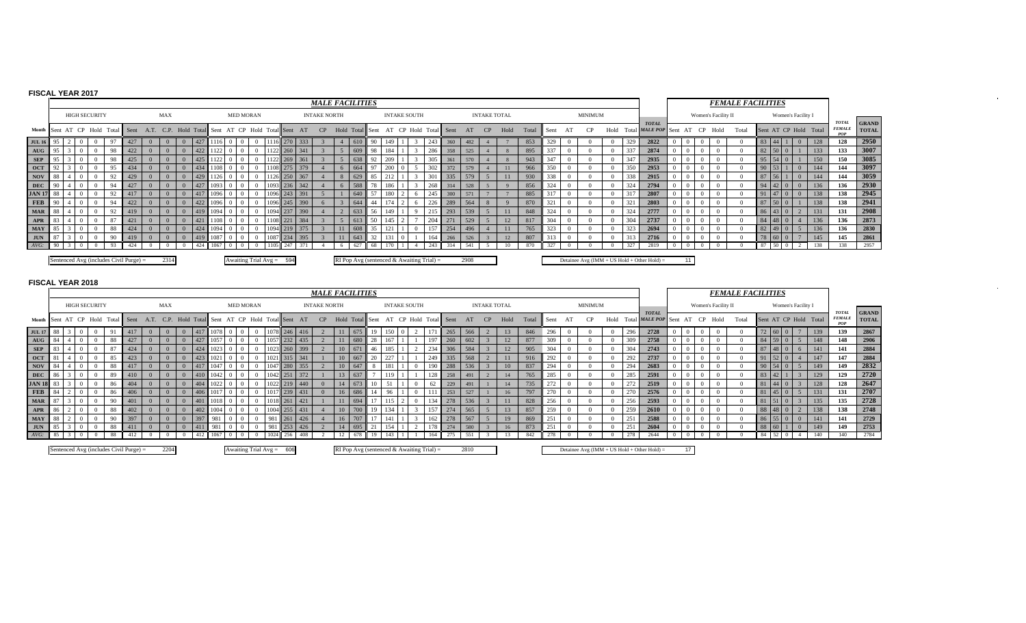## **FISCAL YEAR 2017**

|                                    |     |  |                      |    |                                          |                                                                                  |          |     |      |          |                  |                            |              |      | <b>MALE FACILITIES</b> |                                             |        |     |                     |     |                       |      |                     |    |      |       |      |    |                |      |     |                                                |          |                     | <b>FEMALE FACILITIES</b> |     |                 |                       |     |                                      |                              |
|------------------------------------|-----|--|----------------------|----|------------------------------------------|----------------------------------------------------------------------------------|----------|-----|------|----------|------------------|----------------------------|--------------|------|------------------------|---------------------------------------------|--------|-----|---------------------|-----|-----------------------|------|---------------------|----|------|-------|------|----|----------------|------|-----|------------------------------------------------|----------|---------------------|--------------------------|-----|-----------------|-----------------------|-----|--------------------------------------|------------------------------|
|                                    |     |  | <b>HIGH SECURITY</b> |    |                                          | <b>MAX</b>                                                                       |          |     |      |          | <b>MED MORAN</b> |                            |              |      | <b>INTAKE NORTH</b>    |                                             |        |     | <b>INTAKE SOUTH</b> |     |                       |      | <b>INTAKE TOTAL</b> |    |      |       |      |    | <b>MINIMUM</b> |      |     |                                                |          | Women's Facility II |                          |     |                 | Women's Facility I    |     |                                      |                              |
|                                    |     |  |                      |    |                                          | Month Sent AT CP Hold Total Sent A.T. C.P. Hold Total Sent AT CP Hold Total Sent |          |     |      |          |                  |                            |              | AT   | CP                     | Hold Total Sent                             |        |     |                     |     | AT CP Hold Total Sent | AT   |                     | CP | Hold | Total | Sent | AT |                | Hold |     | <b>TOTAL</b><br>Total MALE POP Sent            | CP<br>AT | Hold                | Total                    |     |                 | Sent AT CP Hold Total |     | <b>TOTAL</b><br><b>FEMALE</b><br>POP | <b>GRAND</b><br><b>TOTAL</b> |
| <b>JUL 16</b>                      |     |  |                      |    |                                          |                                                                                  |          | 427 |      |          |                  |                            | 270 L        | 333  |                        | 610                                         |        |     |                     | 243 | 360                   | 482  |                     |    |      | 853   | 329  |    |                |      | 329 | 2822                                           |          |                     |                          |     |                 | $\overline{0}$        | 128 | 128                                  | 2950                         |
| $\mathbf{A} \mathbf{U} \mathbf{G}$ |     |  |                      | 98 | 422                                      | $\Omega$                                                                         |          | 422 | 1122 |          |                  |                            | 260 341      |      |                        | 609                                         | 98     |     |                     | 286 | 358                   | 525  |                     |    |      | 895   | 337  |    |                |      | 337 | 2874                                           |          |                     |                          |     | $82 \ 50 \ 0$   |                       | 133 | 133                                  | 3007                         |
| <b>SEP</b>                         |     |  |                      | 98 | 425                                      | $\Omega$                                                                         |          | 425 |      | $\Omega$ |                  |                            | 269 361      |      |                        | 638                                         |        | 209 |                     |     | 361                   | 570  |                     |    |      | 943   | 347  |    |                |      | 347 | 2935                                           | -0       |                     |                          |     | $95 \ 54 \ 0$   |                       | 150 | 150                                  | 3085                         |
| <b>OCT</b>                         |     |  |                      | 95 | 434                                      |                                                                                  |          | 434 |      | $\Omega$ |                  |                            | 108 275 379  |      |                        | 664                                         |        | 200 |                     |     | 372                   | 579  |                     |    |      | 966   | 350  |    |                |      | 350 | 2953                                           |          |                     |                          |     | $90 \mid 53$    | $\theta$              | 144 | 144                                  | 3097                         |
| NOV                                | -88 |  |                      |    | 429                                      |                                                                                  | $\Omega$ | 429 | 1126 |          |                  |                            | 1126 250 367 |      |                        | 629                                         |        |     |                     |     | 335                   | 579  |                     |    |      | 930   | 338  |    |                |      | 338 | 2915                                           |          |                     |                          |     |                 | $\Omega$              | 144 | 144                                  | 3059                         |
| <b>DEC</b>                         |     |  |                      | 94 | 427                                      |                                                                                  |          | 427 | 1093 | $\Omega$ | $\Omega$         |                            | 1093 236 342 |      |                        | 588                                         |        |     |                     | 268 | 314                   | 528  |                     |    |      | 856   | 324  |    |                |      |     | 2794                                           |          |                     |                          |     | $94 \t 42 \t 0$ | $\Omega$              | 136 | 136                                  | 2930                         |
| <b>JAN 17</b> 88                   |     |  |                      |    | 417                                      |                                                                                  |          |     |      |          |                  |                            | 243 391      |      |                        | 640                                         | 57     |     |                     | 245 | 300                   | 571  |                     |    |      | 885   |      |    |                |      |     | 2807                                           |          |                     |                          |     |                 | $\Omega$              | 138 | 138                                  | 2945                         |
| FEB                                |     |  |                      |    | 422                                      |                                                                                  |          | 422 |      |          |                  |                            | 245 390      |      |                        | 644                                         |        |     |                     |     | 289                   | 564  |                     |    |      | 870   |      |    |                |      |     | 2803                                           |          |                     |                          |     |                 |                       | 138 | 138                                  | 2941                         |
| <b>MAR</b>                         | 88  |  |                      |    |                                          |                                                                                  |          | 419 |      |          |                  |                            | 1094 237 390 |      |                        | 633                                         | 56     |     |                     |     | 293                   | 539  |                     |    |      | 848   | 324  |    |                |      | 324 | 2777                                           |          |                     |                          |     |                 |                       | 131 | 131                                  | 2908                         |
| <b>APR</b>                         |     |  |                      |    | 421                                      |                                                                                  |          | 421 |      |          |                  |                            |              | 384  |                        |                                             | $\leq$ |     |                     |     |                       | 529  |                     |    | 12   | 817   | 304  |    |                |      |     | 2737                                           | - 0      |                     |                          | -84 |                 |                       | 136 | 136                                  | 2873                         |
| <b>MAY</b>                         |     |  |                      | 88 | 424                                      |                                                                                  |          |     |      |          |                  |                            |              | 375  |                        | 608                                         |        |     |                     |     | 254                   |      |                     |    |      | 765   |      |    |                |      |     | 2694                                           |          |                     |                          | 82  |                 |                       | 136 | 136                                  | 2830                         |
| <b>JUN</b>                         |     |  |                      | 90 | 419                                      |                                                                                  |          |     | 1087 |          |                  |                            |              | 1395 |                        |                                             |        |     |                     | 164 | 266                   | 526  |                     |    | 12   | 807   |      |    |                |      |     | 2716                                           |          |                     |                          |     | 78 60 0         |                       | 145 | 145                                  | 2861                         |
|                                    |     |  |                      |    |                                          |                                                                                  |          |     |      |          |                  |                            |              |      |                        |                                             |        |     |                     |     |                       |      |                     |    |      | 870   |      |    |                |      |     |                                                |          |                     |                          | 87  |                 |                       | 138 | 138                                  | 2957                         |
|                                    |     |  |                      |    | Sentenced Avg (includes Civil Purge) $=$ | 2314                                                                             |          |     |      |          |                  | Awaiting Trial $Avg = 594$ |              |      |                        | RI Pop Avg (sentenced $&$ Awaiting Trial) = |        |     |                     |     |                       | 2908 |                     |    |      |       |      |    |                |      |     | Detainee Avg ( $IMM + US$ Hold + Other Hold) = | 11       |                     |                          |     |                 |                       |     |                                      |                              |

 $\sim$ 

 $\sim$ 

|               |  |                      |     |                                        |            |                                            |      |                            |     |            |     | <b>MALE FACILITIES</b> |            |               |      |                                             |     |            |      |                     |      |       |      |                |          |                 |                                                |  |                     | <b>FEMALE FACILITIES</b> |    |                 |                    |                       |                                      |                              |
|---------------|--|----------------------|-----|----------------------------------------|------------|--------------------------------------------|------|----------------------------|-----|------------|-----|------------------------|------------|---------------|------|---------------------------------------------|-----|------------|------|---------------------|------|-------|------|----------------|----------|-----------------|------------------------------------------------|--|---------------------|--------------------------|----|-----------------|--------------------|-----------------------|--------------------------------------|------------------------------|
|               |  | <b>HIGH SECURITY</b> |     |                                        | <b>MAX</b> |                                            |      | <b>MED MORAN</b>           |     |            |     | <b>INTAKE NORTH</b>    |            |               |      | <b>INTAKE SOUTH</b>                         |     |            |      | <b>INTAKE TOTAL</b> |      |       |      | <b>MINIMUM</b> |          |                 |                                                |  | Women's Facility II |                          |    |                 | Women's Facility I |                       |                                      |                              |
|               |  |                      |     | Month Sent AT CP Hold Total Sent       |            | A.T. C.P. Hold Total Sent AT CP Hold Total |      |                            |     | ıl l Sent  | AT  | CP                     | Hold Total |               | Sent | AT CP Hold                                  |     | Total Sent | AT   | CP                  | Hold | Total | Sent |                | Hold     |                 | <b>TOTAL</b><br>Total MALE POP Sent            |  | CP Hold             | Total                    |    |                 |                    | Sent AT CP Hold Total | <b>TOTAL</b><br><b>FEMALE</b><br>POP | <b>GRAND</b><br><b>TOTAL</b> |
| <b>JUL 17</b> |  |                      |     |                                        |            |                                            |      |                            |     | 246        |     |                        | 11         |               |      |                                             |     | 265        | 566  |                     | 13   | 846   | 296  |                | $\Omega$ | 296             | 2728                                           |  |                     |                          |    |                 |                    | 139                   | 139                                  | 2867                         |
| AUG           |  |                      | -88 |                                        |            | 427                                        |      |                            |     | 232        | 435 |                        |            | $11 \t 680$   | 28   |                                             | 197 | $260$      | 602  |                     | 12   | 877   | 309  |                | $\Omega$ | 309             | 2758                                           |  |                     |                          |    | 84 59           | $\Omega$           | 148                   | 148                                  | 2906                         |
| <b>SEP</b>    |  |                      |     | 424                                    |            |                                            |      |                            |     | 260        | 399 |                        |            | $10 \mid 671$ | 46   |                                             | 234 | 306        | 584  |                     | 12   | 905   | 304  |                |          | 304             | 2743                                           |  |                     |                          |    | 87 48 0         | -6                 | 141                   | 141                                  | 2884                         |
| <b>OCT</b>    |  |                      |     | 423                                    |            |                                            |      |                            |     | $1 \, 315$ | 341 |                        | 10         | 667           | 20   |                                             | 249 | 335        | 568  |                     | 11   | 916   | 292  |                |          | 292             | 2737                                           |  |                     |                          | 91 | 52 <sub>1</sub> | $\Omega$           | 147                   | 147                                  | 2884                         |
| <b>NOV</b>    |  |                      |     |                                        |            |                                            |      |                            |     | 280        | 355 |                        |            |               |      |                                             | 190 | 288        | 536  |                     | 10   | 837   | 294  |                |          | 294             | 2683                                           |  |                     |                          | 90 |                 |                    | 149                   | 149                                  | 2832                         |
| DEC           |  |                      |     |                                        |            |                                            |      |                            |     | 251        | 372 |                        | 13         |               |      |                                             |     | 258        | 491  |                     | 14   | 765   |      |                |          | 285             | 2591                                           |  |                     |                          |    |                 |                    | 129                   | 129                                  | 2720                         |
| <b>JAN 18</b> |  |                      |     | 404                                    |            |                                            |      |                            |     | 219        | 440 |                        | 14         | 673           |      |                                             |     | 229        | 491  |                     | 14   | 735   |      |                |          | 272             | 2519                                           |  |                     |                          |    |                 |                    | 128                   | 128                                  | 2647                         |
| <b>FEB</b>    |  |                      |     | 406                                    | $\Omega$   |                                            |      |                            |     | 239        | 431 |                        |            | 16 686        | 14   |                                             |     | 253        | 527  |                     | 16   | 797   |      |                |          | 270             | 2576                                           |  |                     |                          | 81 | 45              |                    | 131                   | 131                                  | 2707                         |
| <b>MAR</b>    |  |                      |     |                                        |            |                                            |      |                            |     | 261        | 421 |                        | 11         | $-1694$       |      |                                             |     | 278        | 536  |                     | 11   | 828   | 256  |                |          | 256             | 2593                                           |  |                     |                          | 81 |                 |                    | 135                   | 135                                  | 2728                         |
| APR           |  |                      |     | 402                                    |            |                                            |      |                            |     | 255        |     |                        |            |               |      |                                             | 157 | 274        | 565  |                     | 13   | 857   | 259  |                | $\Omega$ | 259             | 2610                                           |  |                     |                          | 88 |                 |                    | 138                   | 138                                  | 2748                         |
| <b>MAY</b>    |  |                      |     | 397                                    |            | 397                                        | 98   |                            | 981 | 261        | 426 |                        |            |               |      |                                             | 162 | 278        | 567  |                     | 19   | 869   |      |                |          | 25 <sup>2</sup> | 2588                                           |  |                     |                          |    | 86 55           | $\overline{0}$     | 141                   | 141                                  | 2729                         |
| <b>JUN</b>    |  |                      | 88  | 411                                    |            | 411                                        | 981  |                            | 981 | 253        | 426 |                        | 14         | 695           |      |                                             | 178 | 274        | 580  |                     | 16   | 873   | 251  |                | $\Omega$ | 251             | 2604                                           |  |                     |                          |    | 88 60           | $\overline{0}$     | 149                   | 149                                  | 2753                         |
| AVG:          |  |                      |     | 412                                    |            |                                            | 1067 |                            |     | 256        | 408 |                        | 12         | 678           | 19   |                                             | 164 | 275        | 551  |                     |      | 842   | 278  |                |          | 278             | 2644                                           |  |                     |                          | 84 | 52              |                    | 140                   | 140                                  | 2784                         |
|               |  |                      |     | Sentenced Avg (includes Civil Purge) = | 2204       |                                            |      | Awaiting Trial $Avg = 606$ |     |            |     |                        |            |               |      | RI Pop Avg (sentenced & Awaiting Trial) $=$ |     |            | 2810 |                     |      |       |      |                |          |                 | Detainee Avg ( $IMM + US$ Hold + Other Hold) = |  |                     |                          |    |                 |                    |                       |                                      |                              |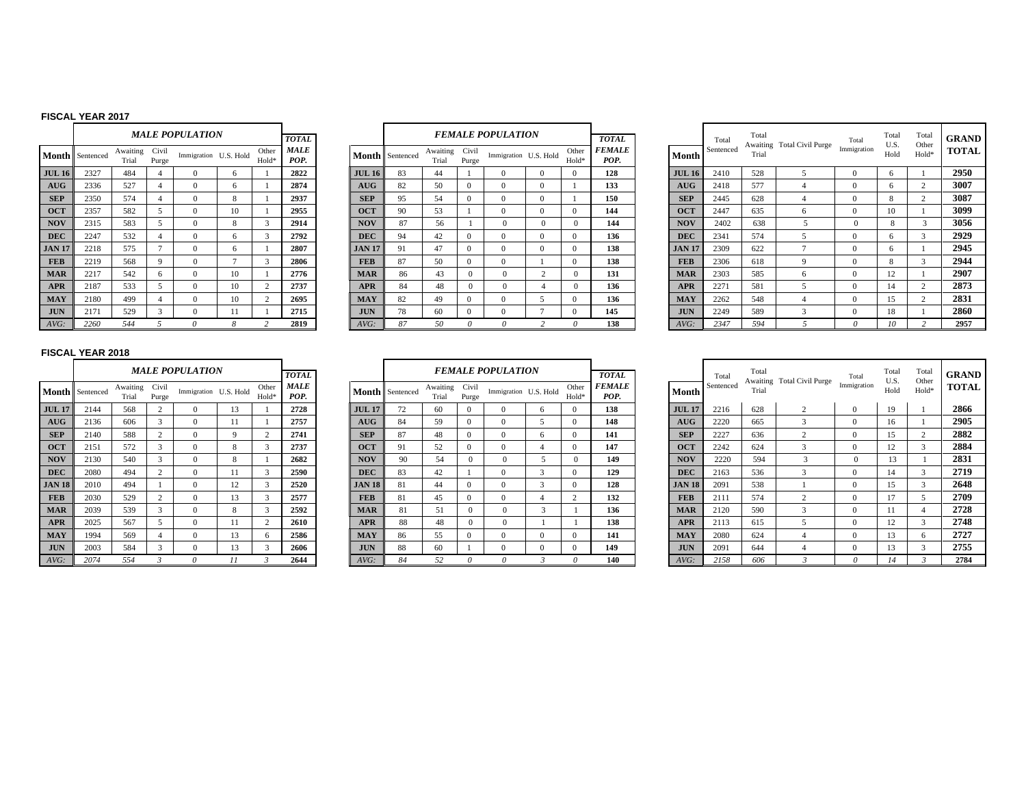#### **FISCAL YEAR 2017**

|               |           |                   |                | <b>MALE POPULATION</b> |    |                | <b>TOTAL</b>        |               |
|---------------|-----------|-------------------|----------------|------------------------|----|----------------|---------------------|---------------|
| Month         | Sentenced | Awaiting<br>Trial | Civil<br>Purge | Immigration U.S. Hold  |    | Other<br>Hold* | <b>MALE</b><br>POP. | Month         |
| <b>JUL 16</b> | 2327      | 484               | 4              | $\Omega$               | 6  | 1              | 2822                | <b>JUL 16</b> |
| AUG           | 2336      | 527               | $\overline{4}$ | $\Omega$               | 6  | 1              | 2874                | <b>AUG</b>    |
| <b>SEP</b>    | 2350      | 574               | $\overline{4}$ | $\Omega$               | 8  | 1              | 2937                | <b>SEP</b>    |
| <b>OCT</b>    | 2357      | 582               | 5              | $\mathbf{0}$           | 10 | 1              | 2955                | <b>OCT</b>    |
| <b>NOV</b>    | 2315      | 583               | 5              | $\Omega$               | 8  | 3              | 2914                | <b>NOV</b>    |
| <b>DEC</b>    | 2247      | 532               | $\overline{4}$ | $\Omega$               | 6  | 3              | 2792                | <b>DEC</b>    |
| <b>JAN 17</b> | 2218      | 575               | $\tau$         | $\mathbf{0}$           | 6  | 1              | 2807                | <b>JAN 17</b> |
| <b>FEB</b>    | 2219      | 568               | 9              | $\Omega$               | 7  | 3              | 2806                | <b>FEB</b>    |
| <b>MAR</b>    | 2217      | 542               | 6              | $\Omega$               | 10 | 1              | 2776                | <b>MAR</b>    |
| <b>APR</b>    | 2187      | 533               | 5              | $\Omega$               | 10 | $\mathfrak{2}$ | 2737                | <b>APR</b>    |
| <b>MAY</b>    | 2180      | 499               | $\overline{4}$ | $\Omega$               | 10 | $\overline{c}$ | 2695                | <b>MAY</b>    |
| <b>JUN</b>    | 2171      | 529               | 3              | $\Omega$               | 11 | 1              | 2715                | <b>JUN</b>    |
| AVG:          | 2260      | 544               | 5              | $\theta$               | 8  | $\overline{c}$ | 2819                | AVG:          |

|                         | MALE POPULATION |                       |                |                | <b>TOTAL</b>        |               |           |                   |                | <b>FEMALE POPULATION</b> |                |                | <b>TOTAL</b>          |               | Total     | Tota<br>Awaiti |
|-------------------------|-----------------|-----------------------|----------------|----------------|---------------------|---------------|-----------|-------------------|----------------|--------------------------|----------------|----------------|-----------------------|---------------|-----------|----------------|
| ting<br>al              | Civil<br>Purge  | Immigration U.S. Hold |                | Other<br>Hold* | <b>MALE</b><br>POP. | Month         | Sentenced | Awaiting<br>Trial | Civil<br>Purge | Immigration U.S. Hold    |                | Other<br>Hold* | <b>FEMALE</b><br>POP. | Month         | Sentenced | Trial          |
| 4                       | 4               | $\Omega$              | 6              |                | 2822                | <b>JUL 16</b> | 83        | 44                |                | $\Omega$                 | $\mathbf{0}$   | $\mathbf{0}$   | 128                   | <b>JUL 16</b> | 2410      | 528            |
|                         | 4               | $\Omega$              | 6              |                | 2874                | AUG           | 82        | 50                | $\Omega$       | $\Omega$                 | $\Omega$       |                | 133                   | AUG           | 2418      | 577            |
| 4                       | 4               | $\Omega$              | 8              |                | 2937                | <b>SEP</b>    | 95        | 54                | $\Omega$       | $\Omega$                 | $\Omega$       |                | 150                   | <b>SEP</b>    | 2445      | 628            |
| ◠                       | 5               | $\Omega$              | 10             |                | 2955                | <b>OCT</b>    | 90        | 53                |                | $\Omega$                 | $\mathbf{0}$   | $\mathbf{0}$   | 144                   | <b>OCT</b>    | 2447      | 635            |
| $\overline{\mathbf{3}}$ | 5               | $\Omega$              | 8              | 3              | 2914                | <b>NOV</b>    | 87        | 56                |                | $\mathbf{0}$             | $\mathbf{0}$   | $\mathbf{0}$   | 144                   | <b>NOV</b>    | 2402      | 638            |
| o                       | 4               | $\Omega$              | 6              | 3              | 2792                | <b>DEC</b>    | 94        | 42                | $\Omega$       | $\Omega$                 | $\mathbf{0}$   | $\Omega$       | 136                   | <b>DEC</b>    | 2341      | 574            |
| 5                       | $\overline{7}$  | $\Omega$              | 6              |                | 2807                | <b>JAN 17</b> | 91        | 47                | $\Omega$       | $\Omega$                 | $\mathbf{0}$   | $\mathbf{0}$   | 138                   | <b>JAN 17</b> | 2309      | 622            |
| 8                       | 9               | $\Omega$              | $\overline{7}$ | 3              | 2806                | <b>FEB</b>    | 87        | 50                | $\mathbf{0}$   | $\Omega$                 |                | $\mathbf{0}$   | 138                   | <b>FEB</b>    | 2306      | 618            |
| ◠                       | 6               | $\Omega$              | 10             |                | 2776                | <b>MAR</b>    | 86        | 43                | $\Omega$       | $\Omega$                 | $\overline{2}$ | $\Omega$       | 131                   | <b>MAR</b>    | 2303      | 585            |
|                         | 5               | $\Omega$              | 10             | 2              | 2737                | <b>APR</b>    | 84        | 48                | $\Omega$       | $\Omega$                 | 4              | $\Omega$       | 136                   | <b>APR</b>    | 2271      | 581            |
| Q                       | 4               | $\Omega$              | 10             | 2              | 2695                | <b>MAY</b>    | 82        | 49                | $\Omega$       | $\Omega$                 | 5              | $\mathbf{0}$   | 136                   | <b>MAY</b>    | 2262      | 548            |
| Q                       | 3               | $\Omega$              | 11             |                | 2715                | <b>JUN</b>    | 78        | 60                | $\Omega$       | $\Omega$                 | 7              | $\mathbf{0}$   | 145                   | <b>JUN</b>    | 2249      | 589            |
|                         | 5               | 0                     | 8              | $\overline{c}$ | 2819                | AVG:          | 87        | 50                | 0              | 0                        | 2              | 0              | 138                   | AVG:          | 2347      | 594            |

|    |                      |                   |                | <b>MALE POPULATION</b> |    |                            | <b>TOTAL</b>        |               |                        |                   |               | <b>FEMALE POPULATION</b> |                            | <b>TOTAL</b>          |               | Total     | Total | Awaiting Total Civil Purge | Total       | Total<br>U.S. | Total<br>Other | GRAND        |
|----|----------------------|-------------------|----------------|------------------------|----|----------------------------|---------------------|---------------|------------------------|-------------------|---------------|--------------------------|----------------------------|-----------------------|---------------|-----------|-------|----------------------------|-------------|---------------|----------------|--------------|
|    | <b>1th</b> Sentenced | Awaiting<br>Trial | Civil<br>Purge | Immigration U.S. Hold  |    | Other<br>Hold <sup>3</sup> | <b>MALE</b><br>POP. |               | <b>Month</b> Sentenced | Awaiting<br>Trial | Civi<br>Purge | Immigration U.S. Hold    | Other<br>Hold <sup>*</sup> | <b>FEMALE</b><br>POP. | <b>Month</b>  | Sentenced | Trial |                            | Immigration | Hold          | Hold*          | <b>TOTAL</b> |
| 16 | 2327                 | 484               |                |                        |    |                            | 2822                | JUL16         | 83                     | 44                |               |                          |                            | 128                   | <b>JUL 16</b> | 2410      | 528   |                            |             |               |                | 2950         |
|    | 2336                 | 527               |                |                        |    |                            | 2874                | AUG           | 82                     | 50                |               |                          |                            | 133                   | <b>AUG</b>    | 2418      | 577   |                            |             |               |                | 3007         |
|    | 2350                 | 574               |                | 0                      |    |                            | 2937                | <b>SEP</b>    | 95                     | 54                |               |                          |                            | 150                   | <b>SEP</b>    | 2445      | 628   |                            |             |               |                | 3087         |
|    | 2357                 | 582               |                |                        | 10 |                            | 2955                | <b>OCT</b>    | 90                     | 53                |               |                          |                            | 144                   | <b>OCT</b>    | 2447      | 635   |                            | $\Omega$    |               |                | 3099         |
|    | 2315                 | 583               |                | 0                      |    |                            | 2914                | <b>NOV</b>    | 87                     | 56                |               |                          | $^{\circ}$                 | 144                   | <b>NOV</b>    | 2402      | 638   |                            |             |               |                | 3056         |
|    | 2247                 | 532               |                |                        |    |                            | 2792                | <b>DEC</b>    | 94                     | 42                |               |                          |                            | 136                   | <b>DEC</b>    | 2341      | 574   |                            |             |               |                | 2929         |
|    | 2218                 | 575               |                |                        |    |                            | 2807                | <b>JAN 17</b> | 91                     | 47                |               |                          |                            | 138                   | <b>JAN 17</b> | 2309      | 622   |                            | $\Omega$    |               |                | 2945         |
|    | 2219                 | 568               |                | $\Omega$               |    |                            | 2806                | <b>FEB</b>    | 87                     | 50                | $\Omega$      |                          |                            | 138                   | <b>FEB</b>    | 2306      | 618   |                            | $\Omega$    |               |                | 2944         |
|    | 2217                 | 542               |                | 0                      | 10 |                            | 2776                | <b>MAR</b>    | 86                     | 43                | $\Omega$      |                          | $^{\circ}$                 | 131                   | <b>MAR</b>    | 2303      | 585   |                            | $^{\circ}$  | 12            |                | 2907         |
|    | 2187                 | 533               |                |                        | 10 |                            | 2737                | <b>APR</b>    | 84                     | 48                | $\Omega$      |                          | $^{\circ}$                 | 136                   | <b>APR</b>    | 2271      | 581   |                            | $\Omega$    | 14            |                | 2873         |
|    | 2180                 | 499               |                | 0                      | 10 |                            | 2695                | <b>MAY</b>    | 82                     | 49                |               |                          |                            | 136                   | <b>MAY</b>    | 2262      | 548   |                            | $\Omega$    | 15            |                | 2831         |
|    | 2171                 | 529               |                | $^{\circ}$             |    |                            | 2715                | <b>JUN</b>    | 78                     | 60                | $\Omega$      |                          |                            | 145                   | <b>JUN</b>    | 2249      | 589   |                            | $^{\circ}$  | 18            |                | 2860         |
|    | 2260                 | 544               |                |                        |    |                            | 2819                | AVG:          |                        | 50                |               |                          |                            | 138                   | AVG:          | 2347      | 594   |                            |             |               |                | 2957         |

|               |           |                   |                | <b>MALE POPULATION</b> |                    |                | <b>TOTAL</b>        |
|---------------|-----------|-------------------|----------------|------------------------|--------------------|----------------|---------------------|
| <b>Month</b>  | Sentenced | Awaiting<br>Trial | Civil<br>Purge | Immigration            | U.S. Hold          | Other<br>Hold* | <b>MALE</b><br>POP. |
| <b>JUL 17</b> | 2144      | 568               | $\overline{c}$ | $\Omega$               | 13                 | 1              | 2728                |
| AUG           | 2136      | 606               | 3              | $\Omega$               | 11                 | 1              | 2757                |
| <b>SEP</b>    | 2140      | 588               | $\overline{c}$ | $\Omega$               | 9                  | $\overline{c}$ | 2741                |
| <b>OCT</b>    | 2151      | 572               | 3              | $\Omega$               | $\mathbf{\hat{z}}$ | 3              | 2737                |
| <b>NOV</b>    | 2130      | 540               | 3              | $\Omega$               | 8                  | 1              | 2682                |
| <b>DEC</b>    | 2080      | 494               | $\overline{c}$ | $\Omega$               | 11                 | 3              | 2590                |
| <b>JAN 18</b> | 2010      | 494               | 1              | $\Omega$               | 12                 | 3              | 2520                |
| <b>FEB</b>    | 2030      | 529               | $\overline{c}$ | $\Omega$               | 13                 | 3              | 2577                |
| <b>MAR</b>    | 2039      | 539               | 3              | $\Omega$               | 8                  | 3              | 2592                |
| <b>APR</b>    | 2025      | 567               | 5              | $\Omega$               | 11                 | $\overline{c}$ | 2610                |
| <b>MAY</b>    | 1994      | 569               | 4              | $\Omega$               | 13                 | 6              | 2586                |
| <b>JUN</b>    | 2003      | 584               | 3              | $\Omega$               | 13                 | 3              | 2606                |
| AVG:          | 2074      | 554               | 3              | $\theta$               | 11                 | 3              | 2644                |

|               |                 |                   |                | <b>MALE POPULATION</b> |             |                | <b>TOTAL</b> |               |                        |                   |                | <b>FEMALE POPULATION</b> |              |                | <b>TOTAL</b>          |               | Total    |
|---------------|-----------------|-------------------|----------------|------------------------|-------------|----------------|--------------|---------------|------------------------|-------------------|----------------|--------------------------|--------------|----------------|-----------------------|---------------|----------|
|               | Month Sentenced | Awaiting<br>Trial | Civil<br>Purge | Immigration U.S. Hold  |             | Other<br>Hold* | MALE<br>POP. |               | <b>Month</b> Sentenced | Awaiting<br>Trial | Civil<br>Purge | Immigration U.S. Hold    |              | Other<br>Hold* | <b>FEMALE</b><br>POP. | Month         | Sentence |
| <b>JUL 17</b> | 2144            | 568               | $\overline{c}$ | $\Omega$               | 13          |                | 2728         | <b>JUL 17</b> | 72                     | 60                | $\overline{0}$ |                          | 6            |                | 138                   | <b>JUL 17</b> | 2216     |
| <b>AUG</b>    | 2136            | 606               | 3              | $\Omega$               | 11          |                | 2757         | AUG           | 84                     | 59                | $\Omega$       | $\Omega$                 |              |                | 148                   | AUG           | 2220     |
| <b>SEP</b>    | 2140            | 588               | $\overline{c}$ | $\Omega$               | $\mathbf Q$ | $\overline{c}$ | 2741         | <b>SEP</b>    | 87                     | 48                | $\mathbf{0}$   | 0                        | 6            |                | 141                   | <b>SEP</b>    | 2227     |
| <b>OCT</b>    | 2151            | 572               | 3              | $\Omega$               | 8           | 3              | 2737         | <b>OCT</b>    | 91                     | 52                | $\Omega$       | $\Omega$                 | 4            |                | 147                   | <b>OCT</b>    | 2242     |
| <b>NOV</b>    | 2130            | 540               | 3              | $\Omega$               | 8           |                | 2682         | <b>NOV</b>    | 90                     | 54                | $\Omega$       | $\Omega$                 | 5            | 0              | 149                   | <b>NOV</b>    | 2220     |
| <b>DEC</b>    | 2080            | 494               | $\mathcal{D}$  | $\Omega$               | 11          | 3              | 2590         | <b>DEC</b>    | 83                     | 42                |                | 0                        | $\mathbf{3}$ |                | 129                   | <b>DEC</b>    | 2163     |
| <b>JAN 18</b> | 2010            | 494               |                | $\mathbf{0}$           | 12          | 3              | 2520         | <b>JAN 18</b> | 81                     | 44                | $\mathbf{0}$   | $\Omega$                 | 3            |                | 128                   | <b>JAN 18</b> | 2091     |
| <b>FEB</b>    | 2030            | 529               | $\overline{c}$ | $\Omega$               | 13          | 3              | 2577         | <b>FEB</b>    | 81                     | 45                | $\Omega$       | 0                        | 4            | $\sim$         | 132                   | <b>FEB</b>    | 2111     |
| <b>MAR</b>    | 2039            | 539               | 3              | $\Omega$               | 8           | 3              | 2592         | <b>MAR</b>    | 81                     | 51                | $\Omega$       | 0                        | 3            |                | 136                   | <b>MAR</b>    | 2120     |
| <b>APR</b>    | 2025            | 567               | 5              | $\mathbf{0}$           | 11          | 2              | 2610         | <b>APR</b>    | 88                     | 48                | $\Omega$       | $\Omega$                 |              |                | 138                   | <b>APR</b>    | 2113     |
| <b>MAY</b>    | 1994            | 569               | 4              | $\Omega$               | 13          | 6              | 2586         | <b>MAY</b>    | 86                     | 55                | $\Omega$       | $\Omega$                 | $\Omega$     |                | 141                   | <b>MAY</b>    | 2080     |
| <b>JUN</b>    | 2003            | 584               | 3              | $\mathbf{0}$           | 13          | 3              | 2606         | <b>JUN</b>    | 88                     | 60                |                | $\theta$                 | $\Omega$     |                | 149                   | <b>JUN</b>    | 2091     |
| $AVG$ :       | 2074            | 554               | 3              | $\theta$               | 11          |                | 2644         | $AVG$ :       | 84                     | 52                | 0              |                          | э            | $\theta$       | 140                   | $AVG$ :       | 2158     |

|    |                      |                   |                | <b>MALE POPULATION</b> |    |                            | <b>TOTAL</b>        |               |                 |                   |                | <b>FEMALE POPULATION</b> |                | <b>TOTAL</b>          |               | Total     | Total | Awaiting Total Civil Purge | Total       | Total<br>U.S. | Total<br>Other | <b>GRAND</b> |
|----|----------------------|-------------------|----------------|------------------------|----|----------------------------|---------------------|---------------|-----------------|-------------------|----------------|--------------------------|----------------|-----------------------|---------------|-----------|-------|----------------------------|-------------|---------------|----------------|--------------|
|    | <b>1th</b> Sentenced | Awaiting<br>Trial | Civil<br>Purge | Immigration U.S. Hold  |    | Other<br>Hold <sup>*</sup> | <b>MALE</b><br>POP. |               | Month Sentenced | Awaiting<br>Trial | Civil<br>Purge | Immigration U.S. Hold    | Other<br>Hold* | <b>FEMALE</b><br>POP. | Month         | Sentenced | Trial |                            | Immigration | Hold          | Hold*          | <b>TOTAL</b> |
| 17 | 2144                 | 568               |                |                        | 13 |                            | 2728                | <b>JUL 17</b> | 72              | 60                |                |                          |                | 138                   | <b>JUL 17</b> | 2216      | 628   |                            |             | 19            |                | 2866         |
|    | 2136                 | 606               |                |                        |    |                            | 2757                | AUG           | 84              | 59                |                |                          |                | 148                   | AUG           | 2220      | 665   |                            |             | h             |                | 2905         |
|    | 2140                 | 588               |                |                        |    |                            | 2741                | <b>SEP</b>    | 87              | 48                |                |                          |                | 141                   | <b>SEP</b>    | 2227      | 636   |                            |             |               |                | 2882         |
|    | 2151                 | 572               |                |                        |    |                            | 2737                | <b>OCT</b>    | 91              | 52                |                |                          |                | 147                   | <b>OCT</b>    | 2242      | 624   |                            | $\Omega$    |               |                | 2884         |
|    | 2130                 | 540               |                |                        |    |                            | 2682                | <b>NOV</b>    | 90              | 54                |                |                          |                | 149                   | <b>NOV</b>    | 2220      | 594   |                            | $\Omega$    | 13            |                | 2831         |
|    | 2080                 | 494               |                |                        |    |                            | 2590                | <b>DEC</b>    | 83              | 42                |                |                          |                | 129                   | <b>DEC</b>    | 2163      | 536   |                            |             |               |                | 2719         |
| 18 | 2010                 | 494               |                | $^{\circ}$             | 12 |                            | 2520                | <b>JAN 18</b> | 81              | 44                |                |                          |                | 128                   | <b>JAN 18</b> | 2091      | 538   |                            |             |               |                | 2648         |
|    | 2030                 | 529               |                |                        | 13 |                            | 2577                | <b>FEB</b>    | 81              | 45                |                |                          |                | 132                   | <b>FEB</b>    | 2111      | 574   |                            | $\Omega$    |               |                | 2709         |
|    | 2039                 | 539               |                |                        |    |                            | 2592                | <b>MAR</b>    | 81              | 51                |                |                          |                | 136                   | <b>MAR</b>    | 2120      | 590   |                            | $\Omega$    |               |                | 2728         |
|    | 2025                 | 567               |                |                        |    |                            | 2610                | <b>APR</b>    | 88              | 48                |                |                          |                | 138                   | <b>APR</b>    | 2113      | 615   |                            |             |               |                | 2748         |
|    | 1994                 | 569               |                | $^{\circ}$             | 13 |                            | 2586                | <b>MAY</b>    | 86              | 55                |                |                          |                | 141                   | <b>MAY</b>    | 2080      | 624   |                            | $\Omega$    |               |                | 2727         |
|    | 2003                 | 584               |                |                        | 13 |                            | 2606                | <b>JUN</b>    | 88              | 60                |                |                          |                | 149                   | <b>JUN</b>    | 2091      | 644   |                            |             |               |                | 2755         |
|    | 2074                 | 554               |                |                        |    |                            | 2644                | $AVG$ :       | 84              | 52                |                |                          |                | 140                   | AVG:          | 2158      | 606   |                            |             |               |                | 2784         |